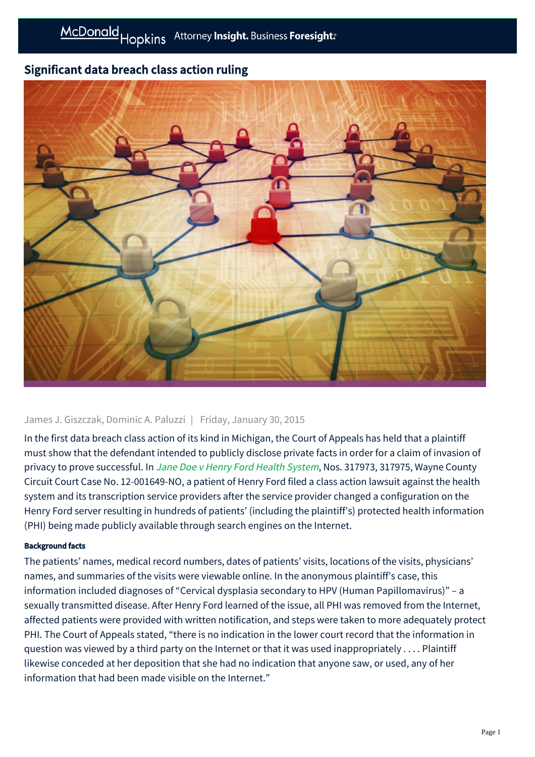## Significant data breach class action ruling



## James J. Giszczak, Dominic A. Paluzzi | Friday, January 30, 2015

In the first data breach class action of its kind in Michigan, the Court of Appeals has held that a plaintiff must show that the defendant intended to publicly disclose private facts in order for a claim of invasion of privacy to prove successful. In [Jane Doe v Henry Ford Health System](http://publicdocs.courts.mi.gov:81/OPINIONS/FINAL/COA/20141218_C317973_58_317973.OPN.PDF), Nos. 317973, 317975, Wayne County Circuit Court Case No. 12-001649-NO, a patient of Henry Ford filed a class action lawsuit against the health system and its transcription service providers after the service provider changed a configuration on the Henry Ford server resulting in hundreds of patients' (including the plaintiff's) protected health information (PHI) being made publicly available through search engines on the Internet.

## Background facts

The patients' names, medical record numbers, dates of patients' visits, locations of the visits, physicians' names, and summaries of the visits were viewable online. In the anonymous plaintiff's case, this information included diagnoses of "Cervical dysplasia secondary to HPV (Human Papillomavirus)" – a sexually transmitted disease. After Henry Ford learned of the issue, all PHI was removed from the Internet, affected patients were provided with written notification, and steps were taken to more adequately protect PHI. The Court of Appeals stated, "there is no indication in the lower court record that the information in question was viewed by a third party on the Internet or that it was used inappropriately . . . . Plaintiff likewise conceded at her deposition that she had no indication that anyone saw, or used, any of her information that had been made visible on the Internet."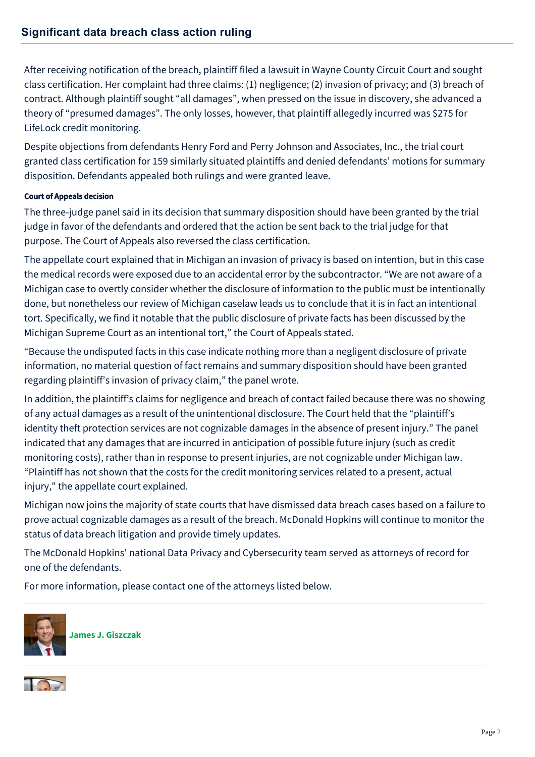After receiving notification of the breach, plaintiff filed a lawsuit in Wayne County Circuit Court and sought class certification. Her complaint had three claims: (1) negligence; (2) invasion of privacy; and (3) breach of contract. Although plaintiff sought "all damages", when pressed on the issue in discovery, she advanced a theory of "presumed damages". The only losses, however, that plaintiff allegedly incurred was \$275 for LifeLock credit monitoring.

Despite objections from defendants Henry Ford and Perry Johnson and Associates, Inc., the trial court granted class certification for 159 similarly situated plaintiffs and denied defendants' motions for summary disposition. Defendants appealed both rulings and were granted leave.

## Court of Appeals decision

The three-judge panel said in its decision that summary disposition should have been granted by the trial judge in favor of the defendants and ordered that the action be sent back to the trial judge for that purpose. The Court of Appeals also reversed the class certification.

The appellate court explained that in Michigan an invasion of privacy is based on intention, but in this case the medical records were exposed due to an accidental error by the subcontractor. "We are not aware of a Michigan case to overtly consider whether the disclosure of information to the public must be intentionally done, but nonetheless our review of Michigan caselaw leads us to conclude that it is in fact an intentional tort. Specifically, we find it notable that the public disclosure of private facts has been discussed by the Michigan Supreme Court as an intentional tort," the Court of Appeals stated.

"Because the undisputed facts in this case indicate nothing more than a negligent disclosure of private information, no material question of fact remains and summary disposition should have been granted regarding plaintiff's invasion of privacy claim," the panel wrote.

In addition, the plaintiff's claims for negligence and breach of contact failed because there was no showing of any actual damages as a result of the unintentional disclosure. The Court held that the "plaintiff's identity theft protection services are not cognizable damages in the absence of present injury." The panel indicated that any damages that are incurred in anticipation of possible future injury (such as credit monitoring costs), rather than in response to present injuries, are not cognizable under Michigan law. "Plaintiff has not shown that the costs for the credit monitoring services related to a present, actual injury," the appellate court explained.

Michigan now joins the majority of state courts that have dismissed data breach cases based on a failure to prove actual cognizable damages as a result of the breach. McDonald Hopkins will continue to monitor the status of data breach litigation and provide timely updates.

The McDonald Hopkins' national Data Privacy and Cybersecurity team served as attorneys of record for one of the defendants.

For more information, please contact one of the attorneys listed below.



**[James J. Giszczak](https://mcdonaldhopkins.com/Team/Attorney/j/James-Giszczak)**